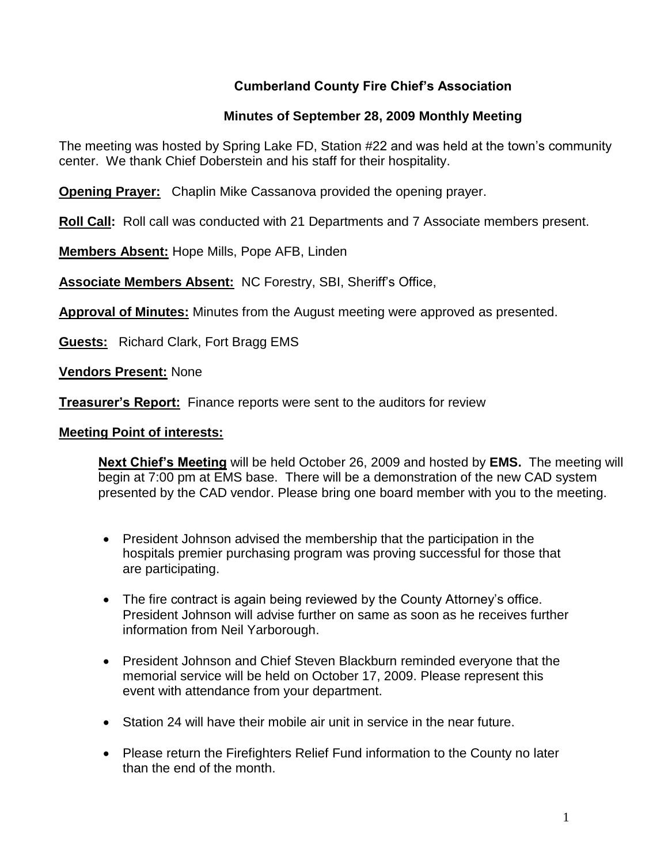## **Cumberland County Fire Chief's Association**

### **Minutes of September 28, 2009 Monthly Meeting**

The meeting was hosted by Spring Lake FD, Station #22 and was held at the town's community center. We thank Chief Doberstein and his staff for their hospitality.

**Opening Prayer:** Chaplin Mike Cassanova provided the opening prayer.

**Roll Call:** Roll call was conducted with 21 Departments and 7 Associate members present.

**Members Absent:** Hope Mills, Pope AFB, Linden

**Associate Members Absent:** NC Forestry, SBI, Sheriff's Office,

**Approval of Minutes:** Minutes from the August meeting were approved as presented.

**Guests:** Richard Clark, Fort Bragg EMS

**Vendors Present:** None

**Treasurer's Report:** Finance reports were sent to the auditors for review

#### **Meeting Point of interests:**

**Next Chief's Meeting** will be held October 26, 2009 and hosted by **EMS.** The meeting will begin at 7:00 pm at EMS base. There will be a demonstration of the new CAD system presented by the CAD vendor. Please bring one board member with you to the meeting.

- President Johnson advised the membership that the participation in the hospitals premier purchasing program was proving successful for those that are participating.
- The fire contract is again being reviewed by the County Attorney's office. President Johnson will advise further on same as soon as he receives further information from Neil Yarborough.
- President Johnson and Chief Steven Blackburn reminded everyone that the memorial service will be held on October 17, 2009. Please represent this event with attendance from your department.
- Station 24 will have their mobile air unit in service in the near future.
- Please return the Firefighters Relief Fund information to the County no later than the end of the month.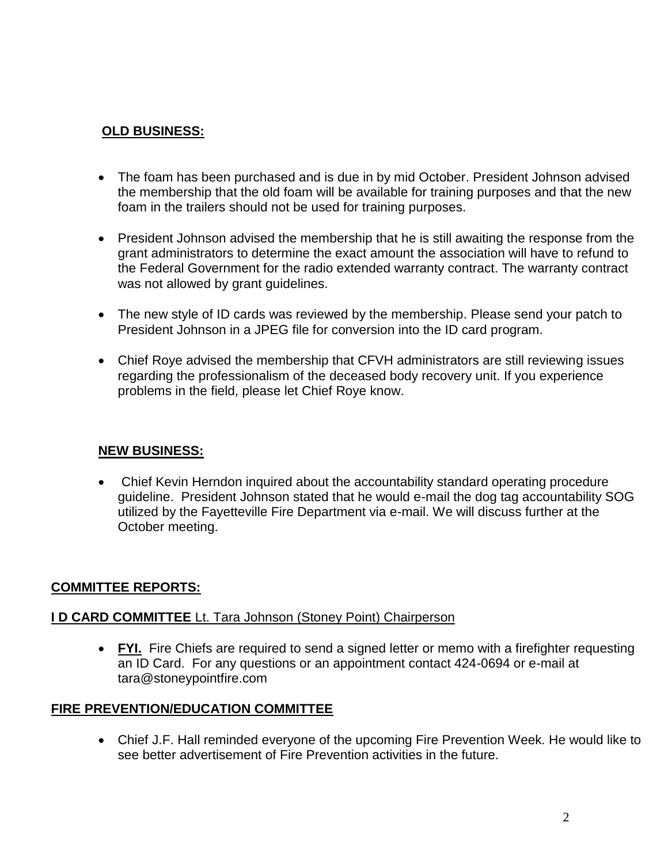## **OLD BUSINESS:**

- The foam has been purchased and is due in by mid October. President Johnson advised the membership that the old foam will be available for training purposes and that the new foam in the trailers should not be used for training purposes.
- President Johnson advised the membership that he is still awaiting the response from the grant administrators to determine the exact amount the association will have to refund to the Federal Government for the radio extended warranty contract. The warranty contract was not allowed by grant guidelines.
- The new style of ID cards was reviewed by the membership. Please send your patch to President Johnson in a JPEG file for conversion into the ID card program.
- Chief Roye advised the membership that CFVH administrators are still reviewing issues regarding the professionalism of the deceased body recovery unit. If you experience problems in the field, please let Chief Roye know.

### **NEW BUSINESS:**

• Chief Kevin Herndon inquired about the accountability standard operating procedure guideline. President Johnson stated that he would e-mail the dog tag accountability SOG utilized by the Fayetteville Fire Department via e-mail. We will discuss further at the October meeting.

### **COMMITTEE REPORTS:**

#### **I D CARD COMMITTEE** Lt. Tara Johnson (Stoney Point) Chairperson

• FYI. Fire Chiefs are required to send a signed letter or memo with a firefighter requesting an ID Card. For any questions or an appointment contact 424-0694 or e-mail at [tara@stoneypointfire.com](mailto:tara@stoneypointfire.com)

#### **FIRE PREVENTION/EDUCATION COMMITTEE**

 Chief J.F. Hall reminded everyone of the upcoming Fire Prevention Week. He would like to see better advertisement of Fire Prevention activities in the future.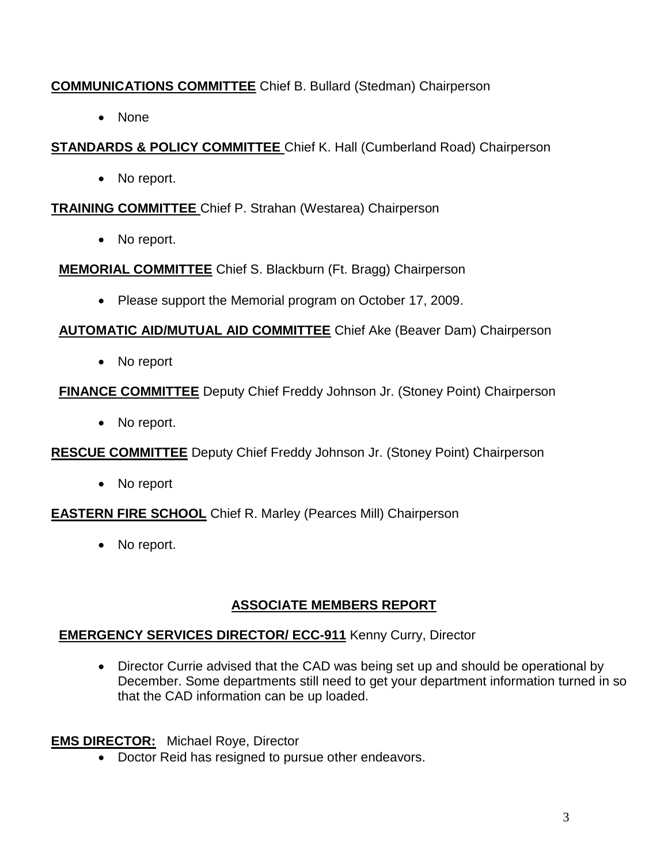# **COMMUNICATIONS COMMITTEE** Chief B. Bullard (Stedman) Chairperson

• None

# **STANDARDS & POLICY COMMITTEE** Chief K. Hall (Cumberland Road) Chairperson

• No report.

## **TRAINING COMMITTEE** Chief P. Strahan (Westarea) Chairperson

• No report.

**MEMORIAL COMMITTEE** Chief S. Blackburn (Ft. Bragg) Chairperson

• Please support the Memorial program on October 17, 2009.

# **AUTOMATIC AID/MUTUAL AID COMMITTEE** Chief Ake (Beaver Dam) Chairperson

• No report

# **FINANCE COMMITTEE** Deputy Chief Freddy Johnson Jr. (Stoney Point) Chairperson

• No report.

**RESCUE COMMITTEE** Deputy Chief Freddy Johnson Jr. (Stoney Point) Chairperson

• No report

**EASTERN FIRE SCHOOL** Chief R. Marley (Pearces Mill) Chairperson

• No report.

# **ASSOCIATE MEMBERS REPORT**

# **EMERGENCY SERVICES DIRECTOR/ ECC-911** Kenny Curry, Director

• Director Currie advised that the CAD was being set up and should be operational by December. Some departments still need to get your department information turned in so that the CAD information can be up loaded.

## **EMS DIRECTOR:** Michael Roye, Director

• Doctor Reid has resigned to pursue other endeavors.